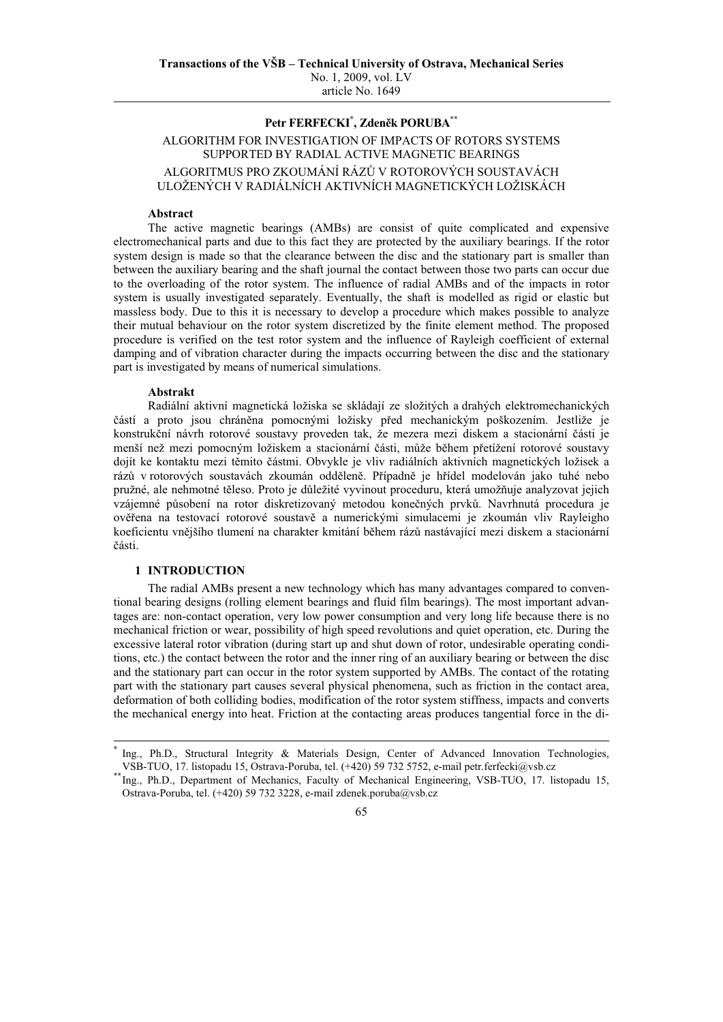# **Petr FERFECKI\* , ZdenČk PORUBA\*\***

# ALGORITHM FOR INVESTIGATION OF IMPACTS OF ROTORS SYSTEMS SUPPORTED BY RADIAL ACTIVE MAGNETIC BEARINGS ALGORITMUS PRO ZKOUMÁNÍ RÁZģ V ROTOROVÝCH SOUSTAVÁCH ULOŽENÝCH V RADIÁLNÍCH AKTIVNÍCH MAGNETICKÝCH LOŽISKÁCH

#### **Abstract**

The active magnetic bearings (AMBs) are consist of quite complicated and expensive electromechanical parts and due to this fact they are protected by the auxiliary bearings. If the rotor system design is made so that the clearance between the disc and the stationary part is smaller than between the auxiliary bearing and the shaft journal the contact between those two parts can occur due to the overloading of the rotor system. The influence of radial AMBs and of the impacts in rotor system is usually investigated separately. Eventually, the shaft is modelled as rigid or elastic but massless body. Due to this it is necessary to develop a procedure which makes possible to analyze their mutual behaviour on the rotor system discretized by the finite element method. The proposed procedure is verified on the test rotor system and the influence of Rayleigh coefficient of external damping and of vibration character during the impacts occurring between the disc and the stationary part is investigated by means of numerical simulations.

# **Abstrakt**

Radiální aktivní magnetická ložiska se skládají ze složitých a drahých elektromechanických částí a proto jsou chráněna pomocnými ložisky před mechanickým poškozením. Jestliže je konstrukční návrh rotorové soustavy proveden tak, že mezera mezi diskem a stacionární části je menší než mezi pomocným ložiskem a stacionární části, může během přetížení rotorové soustavy dojít ke kontaktu mezi těmito částmi. Obvykle je vliv radiálních aktivních magnetických ložisek a rázů v rotorových soustavách zkoumán odděleně. Případně je hřídel modelován jako tuhé nebo pružné, ale nehmotné těleso. Proto je důležité vyvinout proceduru, která umožňuje analyzovat jejich vzájemné působení na rotor diskretizovaný metodou konečných prvků. Navrhnutá procedura je ověřena na testovací rotorové soustavě a numerickými simulacemi je zkoumán vliv Rayleigho koeficientu vnějšího tlumení na charakter kmitání během rázů nastávající mezi diskem a stacionární části.

# **1 INTRODUCTION**

The radial AMBs present a new technology which has many advantages compared to conventional bearing designs (rolling element bearings and fluid film bearings). The most important advantages are: non-contact operation, very low power consumption and very long life because there is no mechanical friction or wear, possibility of high speed revolutions and quiet operation, etc. During the excessive lateral rotor vibration (during start up and shut down of rotor, undesirable operating conditions, etc.) the contact between the rotor and the inner ring of an auxiliary bearing or between the disc and the stationary part can occur in the rotor system supported by AMBs. The contact of the rotating part with the stationary part causes several physical phenomena, such as friction in the contact area, deformation of both colliding bodies, modification of the rotor system stiffness, impacts and converts the mechanical energy into heat. Friction at the contacting areas produces tangential force in the di-

<sup>&</sup>lt;sup>\*</sup>Ing., Ph.D., Department of Mechanics, Faculty of Mechanical Engineering, VSB-TUO, 17. listopadu 15, Ostrava-Poruba, tel. (+420) 59 732 3228, e-mail zdenek.poruba@vsb.cz



 <sup>\*</sup> Ing., Ph.D., Structural Integrity & Materials Design, Center of Advanced Innovation Technologies, VSB-TUO, 17. listopadu 15. Ostrava-Poruba, tel. (+420) 59 732 5752, e-mail petr. ferfecki@vsb.cz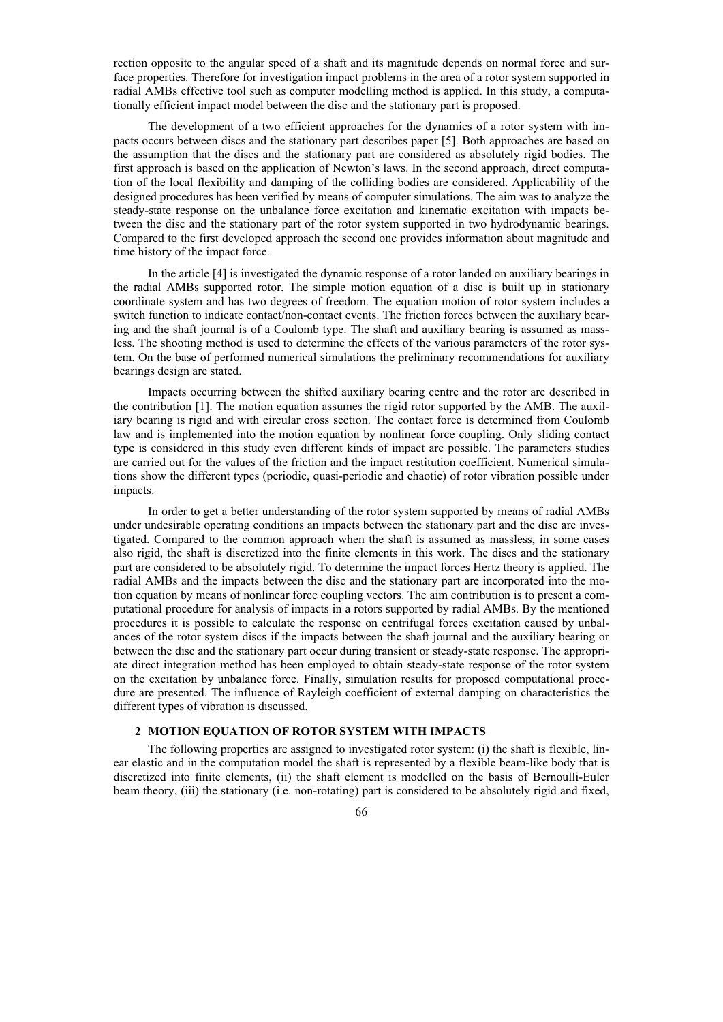rection opposite to the angular speed of a shaft and its magnitude depends on normal force and surface properties. Therefore for investigation impact problems in the area of a rotor system supported in radial AMBs effective tool such as computer modelling method is applied. In this study, a computationally efficient impact model between the disc and the stationary part is proposed.

The development of a two efficient approaches for the dynamics of a rotor system with impacts occurs between discs and the stationary part describes paper [5]. Both approaches are based on the assumption that the discs and the stationary part are considered as absolutely rigid bodies. The first approach is based on the application of Newton's laws. In the second approach, direct computation of the local flexibility and damping of the colliding bodies are considered. Applicability of the designed procedures has been verified by means of computer simulations. The aim was to analyze the steady-state response on the unbalance force excitation and kinematic excitation with impacts between the disc and the stationary part of the rotor system supported in two hydrodynamic bearings. Compared to the first developed approach the second one provides information about magnitude and time history of the impact force.

In the article [4] is investigated the dynamic response of a rotor landed on auxiliary bearings in the radial AMBs supported rotor. The simple motion equation of a disc is built up in stationary coordinate system and has two degrees of freedom. The equation motion of rotor system includes a switch function to indicate contact/non-contact events. The friction forces between the auxiliary bearing and the shaft journal is of a Coulomb type. The shaft and auxiliary bearing is assumed as massless. The shooting method is used to determine the effects of the various parameters of the rotor system. On the base of performed numerical simulations the preliminary recommendations for auxiliary bearings design are stated.

Impacts occurring between the shifted auxiliary bearing centre and the rotor are described in the contribution [1]. The motion equation assumes the rigid rotor supported by the AMB. The auxiliary bearing is rigid and with circular cross section. The contact force is determined from Coulomb law and is implemented into the motion equation by nonlinear force coupling. Only sliding contact type is considered in this study even different kinds of impact are possible. The parameters studies are carried out for the values of the friction and the impact restitution coefficient. Numerical simulations show the different types (periodic, quasi-periodic and chaotic) of rotor vibration possible under impacts.

In order to get a better understanding of the rotor system supported by means of radial AMBs under undesirable operating conditions an impacts between the stationary part and the disc are investigated. Compared to the common approach when the shaft is assumed as massless, in some cases also rigid, the shaft is discretized into the finite elements in this work. The discs and the stationary part are considered to be absolutely rigid. To determine the impact forces Hertz theory is applied. The radial AMBs and the impacts between the disc and the stationary part are incorporated into the motion equation by means of nonlinear force coupling vectors. The aim contribution is to present a computational procedure for analysis of impacts in a rotors supported by radial AMBs. By the mentioned procedures it is possible to calculate the response on centrifugal forces excitation caused by unbalances of the rotor system discs if the impacts between the shaft journal and the auxiliary bearing or between the disc and the stationary part occur during transient or steady-state response. The appropriate direct integration method has been employed to obtain steady-state response of the rotor system on the excitation by unbalance force. Finally, simulation results for proposed computational procedure are presented. The influence of Rayleigh coefficient of external damping on characteristics the different types of vibration is discussed.

# **2 MOTION EQUATION OF ROTOR SYSTEM WITH IMPACTS**

The following properties are assigned to investigated rotor system: (i) the shaft is flexible, linear elastic and in the computation model the shaft is represented by a flexible beam-like body that is discretized into finite elements, (ii) the shaft element is modelled on the basis of Bernoulli-Euler beam theory, (iii) the stationary (i.e. non-rotating) part is considered to be absolutely rigid and fixed,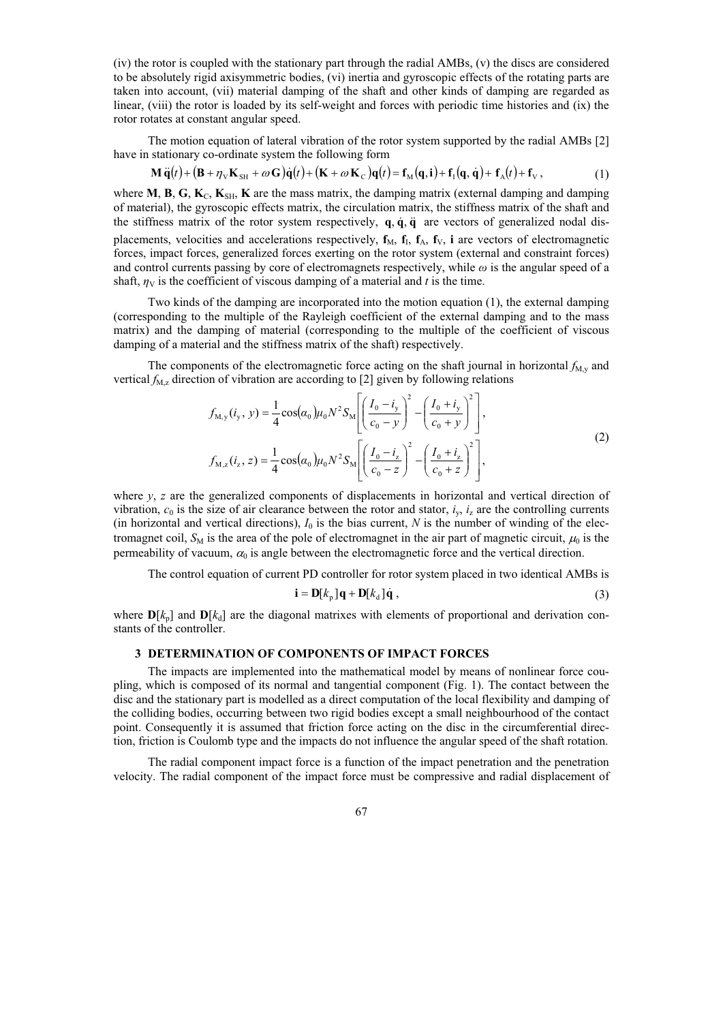(iv) the rotor is coupled with the stationary part through the radial AMBs, (v) the discs are considered to be absolutely rigid axisymmetric bodies, (vi) inertia and gyroscopic effects of the rotating parts are taken into account, (vii) material damping of the shaft and other kinds of damping are regarded as linear, (viii) the rotor is loaded by its self-weight and forces with periodic time histories and (ix) the rotor rotates at constant angular speed.

The motion equation of lateral vibration of the rotor system supported by the radial AMBs [2] have in stationary co-ordinate system the following form

$$
\mathbf{M}\ddot{\mathbf{q}}(t) + (\mathbf{B} + \eta_{\mathbf{V}}\mathbf{K}_{\mathbf{S}\mathbf{H}} + \omega\mathbf{G})\dot{\mathbf{q}}(t) + (\mathbf{K} + \omega\mathbf{K}_{\mathbf{C}})\mathbf{q}(t) = \mathbf{f}_{\mathbf{M}}(\mathbf{q},\mathbf{i}) + \mathbf{f}_{\mathbf{I}}(\mathbf{q},\dot{\mathbf{q}}) + \mathbf{f}_{\mathbf{A}}(t) + \mathbf{f}_{\mathbf{V}},
$$
\n(1)

where **M**, **B**, **G**, **K**<sub>C</sub>, **K**<sub>SH</sub>, **K** are the mass matrix, the damping matrix (external damping and damping of material), the gyroscopic effects matrix, the circulation matrix, the stiffness matrix of the shaft and the stiffness matrix of the rotor system respectively, **q**, **q**, **q** are vectors of generalized nodal displacements, velocities and accelerations respectively,  $f_M$ ,  $f_I$ ,  $f_A$ ,  $f_V$ , **i** are vectors of electromagnetic forces, impact forces, generalized forces exerting on the rotor system (external and constraint forces) and control currents passing by core of electromagnets respectively, while  $\omega$  is the angular speed of a shaft,  $\eta_V$  is the coefficient of viscous damping of a material and *t* is the time.

Two kinds of the damping are incorporated into the motion equation (1), the external damping (corresponding to the multiple of the Rayleigh coefficient of the external damping and to the mass matrix) and the damping of material (corresponding to the multiple of the coefficient of viscous damping of a material and the stiffness matrix of the shaft) respectively.

The components of the electromagnetic force acting on the shaft journal in horizontal  $f_{M_y}$  and vertical  $f_{M,z}$  direction of vibration are according to [2] given by following relations

$$
f_{\text{M},y}(i_{y}, y) = \frac{1}{4}\cos(\alpha_{0})\mu_{0}N^{2}S_{\text{M}}\left[\left(\frac{I_{0} - i_{y}}{c_{0} - y}\right)^{2} - \left(\frac{I_{0} + i_{y}}{c_{0} + y}\right)^{2}\right],
$$
  

$$
f_{\text{M},z}(i_{z}, z) = \frac{1}{4}\cos(\alpha_{0})\mu_{0}N^{2}S_{\text{M}}\left[\left(\frac{I_{0} - i_{z}}{c_{0} - z}\right)^{2} - \left(\frac{I_{0} + i_{z}}{c_{0} + z}\right)^{2}\right],
$$
\n(2)

where *y*, *z* are the generalized components of displacements in horizontal and vertical direction of vibration,  $c_0$  is the size of air clearance between the rotor and stator,  $i_y$ ,  $i_z$  are the controlling currents (in horizontal and vertical directions),  $I_0$  is the bias current,  $N$  is the number of winding of the electromagnet coil,  $S_M$  is the area of the pole of electromagnet in the air part of magnetic circuit,  $\mu_0$  is the permeability of vacuum,  $\alpha_0$  is angle between the electromagnetic force and the vertical direction.

The control equation of current PD controller for rotor system placed in two identical AMBs is

$$
\mathbf{i} = \mathbf{D}[k_{\mathrm{p}}] \mathbf{q} + \mathbf{D}[k_{\mathrm{d}}] \dot{\mathbf{q}} \tag{3}
$$

where  $\mathbf{D}[k_n]$  and  $\mathbf{D}[k_d]$  are the diagonal matrixes with elements of proportional and derivation constants of the controller.

### **3 DETERMINATION OF COMPONENTS OF IMPACT FORCES**

The impacts are implemented into the mathematical model by means of nonlinear force coupling, which is composed of its normal and tangential component (Fig. 1). The contact between the disc and the stationary part is modelled as a direct computation of the local flexibility and damping of the colliding bodies, occurring between two rigid bodies except a small neighbourhood of the contact point. Consequently it is assumed that friction force acting on the disc in the circumferential direction, friction is Coulomb type and the impacts do not influence the angular speed of the shaft rotation.

The radial component impact force is a function of the impact penetration and the penetration velocity. The radial component of the impact force must be compressive and radial displacement of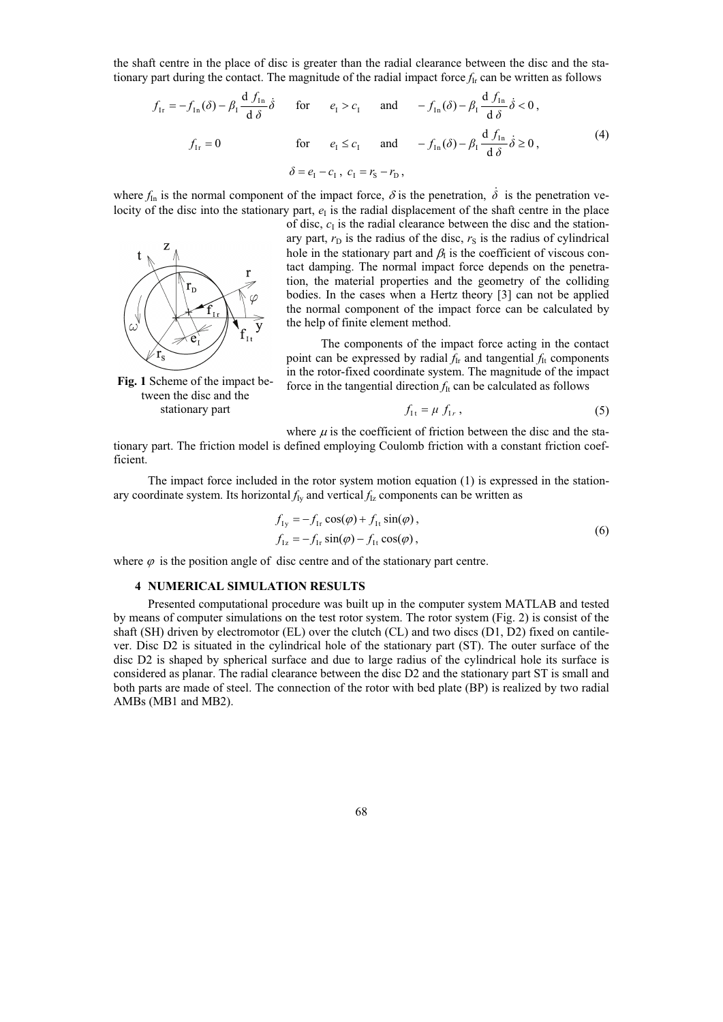the shaft centre in the place of disc is greater than the radial clearance between the disc and the stationary part during the contact. The magnitude of the radial impact force  $f<sub>Ir</sub>$  can be written as follows

$$
f_{\text{Ir}} = -f_{\text{In}}(\delta) - \beta_1 \frac{\mathrm{d} f_{\text{In}}}{\mathrm{d} \delta} \dot{\delta} \quad \text{for} \quad e_{\text{I}} > c_{\text{I}} \quad \text{and} \quad -f_{\text{In}}(\delta) - \beta_1 \frac{\mathrm{d} f_{\text{In}}}{\mathrm{d} \delta} \dot{\delta} < 0,
$$
\n
$$
f_{\text{Ir}} = 0 \quad \text{for} \quad e_{\text{I}} \le c_{\text{I}} \quad \text{and} \quad -f_{\text{In}}(\delta) - \beta_1 \frac{\mathrm{d} f_{\text{In}}}{\mathrm{d} \delta} \dot{\delta} \ge 0,
$$
\n
$$
\delta = e_{\text{I}} - c_{\text{I}}, \quad c_{\text{I}} = r_{\text{S}} - r_{\text{D}}, \tag{4}
$$

where  $f_{\text{In}}$  is the normal component of the impact force,  $\delta$  is the penetration,  $\dot{\delta}$  is the penetration velocity of the disc into the stationary part,  $e<sub>I</sub>$  is the radial displacement of the shaft centre in the place



**Fig. 1** Scheme of the impact between the disc and the  $stationary part$ 

of disc,  $c<sub>I</sub>$  is the radial clearance between the disc and the stationary part,  $r<sub>D</sub>$  is the radius of the disc,  $r<sub>S</sub>$  is the radius of cylindrical hole in the stationary part and  $\beta_1$  is the coefficient of viscous contact damping. The normal impact force depends on the penetration, the material properties and the geometry of the colliding bodies. In the cases when a Hertz theory [3] can not be applied the normal component of the impact force can be calculated by the help of finite element method.

The components of the impact force acting in the contact point can be expressed by radial  $f_{\text{Ir}}$  and tangential  $f_{\text{It}}$  components in the rotor-fixed coordinate system. The magnitude of the impact force in the tangential direction  $f<sub>It</sub>$  can be calculated as follows

$$
f_{1t} = \mu f_{1r},\tag{5}
$$

where  $\mu$  is the coefficient of friction between the disc and the stationary part. The friction model is defined employing Coulomb friction with a constant friction coefficient.

The impact force included in the rotor system motion equation (1) is expressed in the stationary coordinate system. Its horizontal  $f_{1y}$  and vertical  $f_{1z}$  components can be written as

$$
f_{1y} = -f_{1r} \cos(\varphi) + f_{1t} \sin(\varphi),
$$
  
\n
$$
f_{1z} = -f_{1r} \sin(\varphi) - f_{1t} \cos(\varphi),
$$
\n(6)

where  $\varphi$  is the position angle of disc centre and of the stationary part centre.

#### **4 NUMERICAL SIMULATION RESULTS**

Presented computational procedure was built up in the computer system MATLAB and tested by means of computer simulations on the test rotor system. The rotor system (Fig. 2) is consist of the shaft (SH) driven by electromotor (EL) over the clutch (CL) and two discs (D1, D2) fixed on cantilever. Disc D2 is situated in the cylindrical hole of the stationary part (ST). The outer surface of the disc D2 is shaped by spherical surface and due to large radius of the cylindrical hole its surface is considered as planar. The radial clearance between the disc D2 and the stationary part ST is small and both parts are made of steel. The connection of the rotor with bed plate (BP) is realized by two radial AMBs (MB1 and MB2).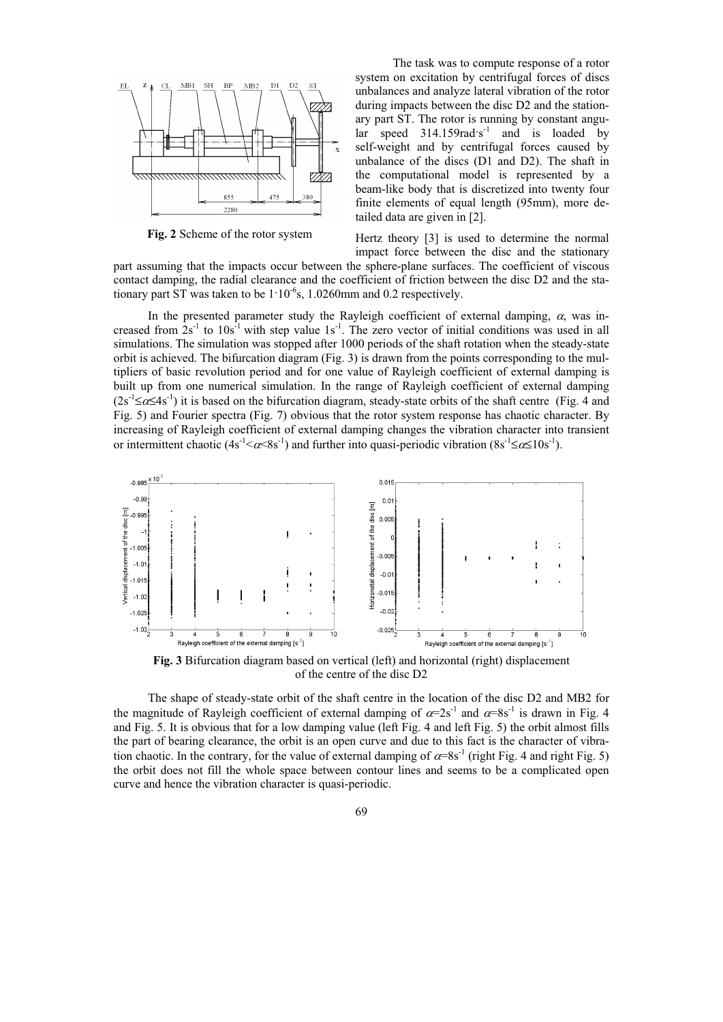

**Fig. 2** Scheme of the rotor system

 The task was to compute response of a rotor system on excitation by centrifugal forces of discs unbalances and analyze lateral vibration of the rotor during impacts between the disc D2 and the stationary part ST. The rotor is running by constant angular speed  $314.159$ rad s<sup>-1</sup> and is loaded by self-weight and by centrifugal forces caused by unbalance of the discs (D1 and D2). The shaft in the computational model is represented by a beam-like body that is discretized into twenty four finite elements of equal length (95mm), more detailed data are given in [2].

Hertz theory [3] is used to determine the normal impact force between the disc and the stationary

part assuming that the impacts occur between the sphere-plane surfaces. The coefficient of viscous contact damping, the radial clearance and the coefficient of friction between the disc D2 and the stationary part ST was taken to be  $1.10^{-6}$ s, 1.0260mm and 0.2 respectively.

In the presented parameter study the Rayleigh coefficient of external damping,  $\alpha$ , was increased from  $2s^{-1}$  to  $10s^{-1}$  with step value 1s<sup>-1</sup>. The zero vector of initial conditions was used in all simulations. The simulation was stopped after 1000 periods of the shaft rotation when the steady-state orbit is achieved. The bifurcation diagram (Fig. 3) is drawn from the points corresponding to the multipliers of basic revolution period and for one value of Rayleigh coefficient of external damping is built up from one numerical simulation. In the range of Rayleigh coefficient of external damping  $(2s<sup>-1</sup>\leq \alpha \leq 4s<sup>-1</sup>)$  it is based on the bifurcation diagram, steady-state orbits of the shaft centre (Fig. 4 and Fig. 5) and Fourier spectra (Fig. 7) obvious that the rotor system response has chaotic character. By increasing of Rayleigh coefficient of external damping changes the vibration character into transient or intermittent chaotic  $(4s^{-1} < \alpha < 8s^{-1})$  and further into quasi-periodic vibration  $(8s^{-1} \le \alpha \le 10s^{-1})$ .



**Fig. 3** Bifurcation diagram based on vertical (left) and horizontal (right) displacement of the centre of the disc D2

The shape of steady-state orbit of the shaft centre in the location of the disc D2 and MB2 for the magnitude of Rayleigh coefficient of external damping of  $\alpha=2s^{-1}$  and  $\alpha=8s^{-1}$  is drawn in Fig. 4 and Fig. 5. It is obvious that for a low damping value (left Fig. 4 and left Fig. 5) the orbit almost fills the part of bearing clearance, the orbit is an open curve and due to this fact is the character of vibration chaotic. In the contrary, for the value of external damping of  $\alpha=8s^{-1}$  (right Fig. 4 and right Fig. 5) the orbit does not fill the whole space between contour lines and seems to be a complicated open curve and hence the vibration character is quasi-periodic.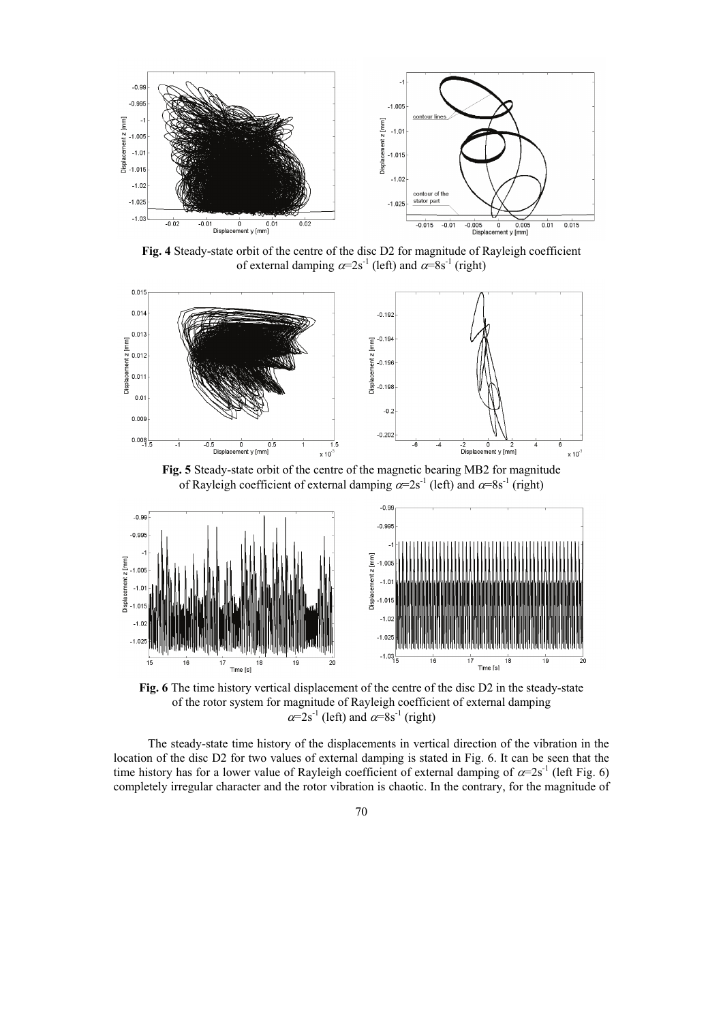

**Fig. 4** Steady-state orbit of the centre of the disc D2 for magnitude of Rayleigh coefficient of external damping  $\alpha=2s^{-1}$  (left) and  $\alpha=8s^{-1}$  (right)



**Fig. 5** Steady-state orbit of the centre of the magnetic bearing MB2 for magnitude of Rayleigh coefficient of external damping  $\alpha=2s^1$  (left) and  $\alpha=8s^1$  (right)



**Fig. 6** The time history vertical displacement of the centre of the disc D2 in the steady-state of the rotor system for magnitude of Rayleigh coefficient of external damping  $\alpha$ =2s<sup>-1</sup> (left) and  $\alpha$ =8s<sup>-1</sup> (right)

The steady-state time history of the displacements in vertical direction of the vibration in the location of the disc D2 for two values of external damping is stated in Fig. 6. It can be seen that the time history has for a lower value of Rayleigh coefficient of external damping of  $\alpha=2s^{-1}$  (left Fig. 6) completely irregular character and the rotor vibration is chaotic. In the contrary, for the magnitude of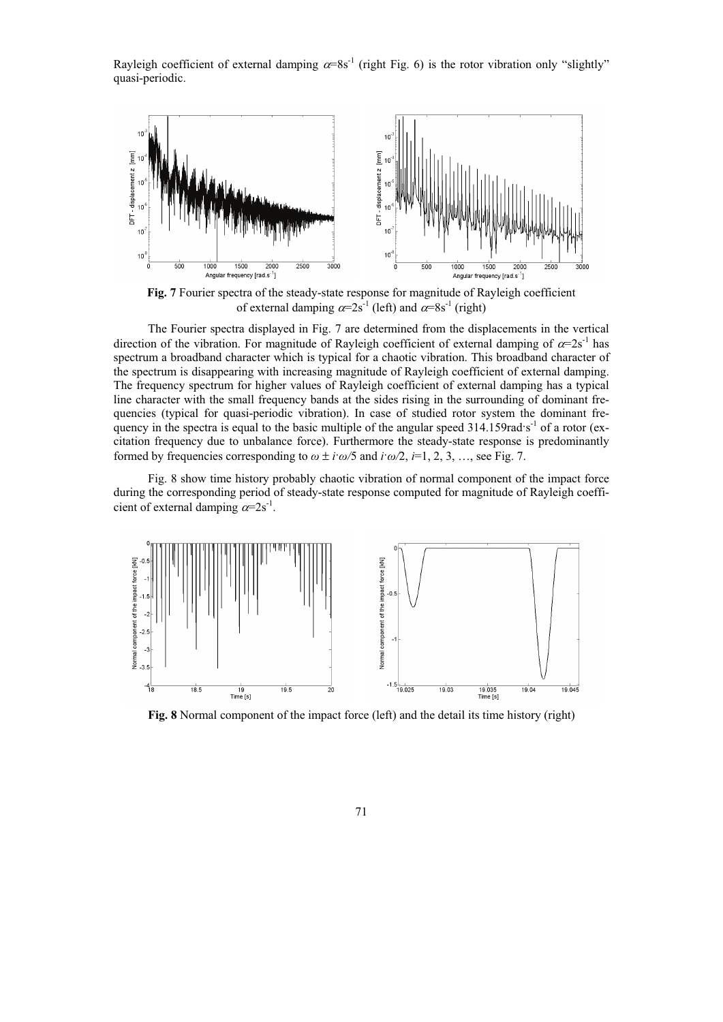Rayleigh coefficient of external damping  $\alpha=8s^{-1}$  (right Fig. 6) is the rotor vibration only "slightly" quasi-periodic.



**Fig. 7** Fourier spectra of the steady-state response for magnitude of Rayleigh coefficient of external damping  $\alpha=2s^{-1}$  (left) and  $\alpha=8s^{-1}$  (right)

The Fourier spectra displayed in Fig. 7 are determined from the displacements in the vertical direction of the vibration. For magnitude of Rayleigh coefficient of external damping of  $\alpha=2s^{-1}$  has spectrum a broadband character which is typical for a chaotic vibration. This broadband character of the spectrum is disappearing with increasing magnitude of Rayleigh coefficient of external damping. The frequency spectrum for higher values of Rayleigh coefficient of external damping has a typical line character with the small frequency bands at the sides rising in the surrounding of dominant frequencies (typical for quasi-periodic vibration). In case of studied rotor system the dominant frequency in the spectra is equal to the basic multiple of the angular speed  $314.159 \text{rad/s}^{-1}$  of a rotor (excitation frequency due to unbalance force). Furthermore the steady-state response is predominantly formed by frequencies corresponding to  $\omega \pm i \omega/5$  and  $i \omega/2$ , *i*=1, 2, 3, ..., see Fig. 7.

Fig. 8 show time history probably chaotic vibration of normal component of the impact force during the corresponding period of steady-state response computed for magnitude of Rayleigh coefficient of external damping  $\alpha=2s^{-1}$ .



**Fig. 8** Normal component of the impact force (left) and the detail its time history (right)